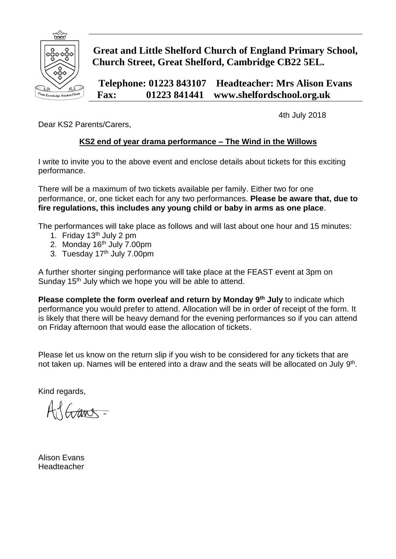

## **Great and Little Shelford Church of England Primary School, Church Street, Great Shelford, Cambridge CB22 5EL.**

**Telephone: 01223 843107 Headteacher: Mrs Alison Evans Fax: 01223 841441 www.shelfordschool.org.uk**

4th July 2018

Dear KS2 Parents/Carers,

## **KS2 end of year drama performance – The Wind in the Willows**

I write to invite you to the above event and enclose details about tickets for this exciting performance.

There will be a maximum of two tickets available per family. Either two for one performance, or, one ticket each for any two performances. **Please be aware that, due to fire regulations, this includes any young child or baby in arms as one place**.

The performances will take place as follows and will last about one hour and 15 minutes:

- 1. Friday 13<sup>th</sup> July 2 pm
- 2. Monday 16<sup>th</sup> July 7.00pm
- 3. Tuesday 17<sup>th</sup> July 7.00pm

A further shorter singing performance will take place at the FEAST event at 3pm on Sunday 15<sup>th</sup> July which we hope you will be able to attend.

**Please complete the form overleaf and return by Monday 9 th July** to indicate which performance you would prefer to attend. Allocation will be in order of receipt of the form. It is likely that there will be heavy demand for the evening performances so if you can attend on Friday afternoon that would ease the allocation of tickets.

Please let us know on the return slip if you wish to be considered for any tickets that are not taken up. Names will be entered into a draw and the seats will be allocated on July  $9<sup>th</sup>$ .

Kind regards,

Adams-

Alison Evans **Headteacher**